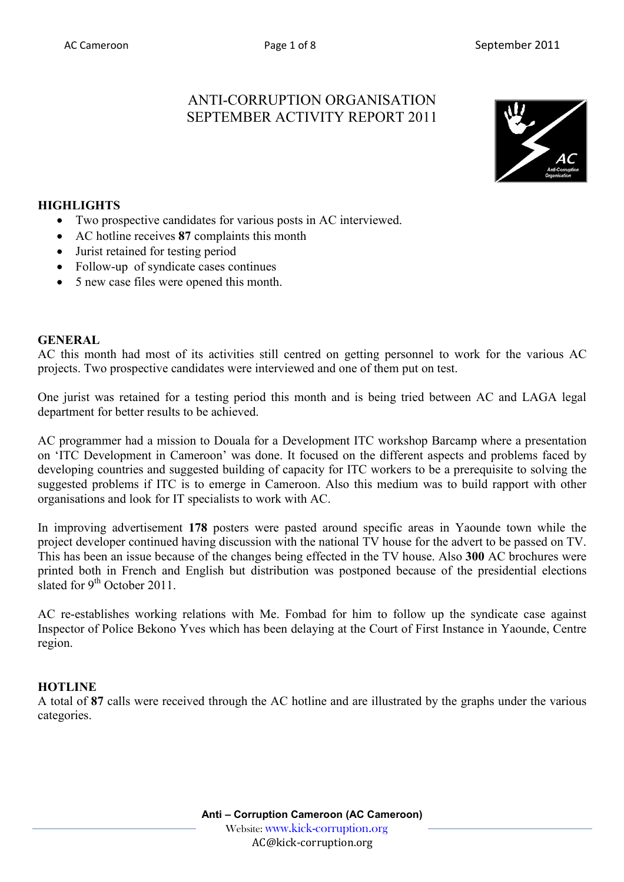# ANTI-CORRUPTION ORGANISATION SEPTEMBER ACTIVITY REPORT 2011



## **HIGHLIGHTS**

- Two prospective candidates for various posts in AC interviewed.
- AC hotline receives **87** complaints this month
- Jurist retained for testing period
- Follow-up of syndicate cases continues
- 5 new case files were opened this month.

#### **GENERAL**

AC this month had most of its activities still centred on getting personnel to work for the various AC projects. Two prospective candidates were interviewed and one of them put on test.

One jurist was retained for a testing period this month and is being tried between AC and LAGA legal department for better results to be achieved.

AC programmer had a mission to Douala for a Development ITC workshop Barcamp where a presentation on 'ITC Development in Cameroon' was done. It focused on the different aspects and problems faced by developing countries and suggested building of capacity for ITC workers to be a prerequisite to solving the suggested problems if ITC is to emerge in Cameroon. Also this medium was to build rapport with other organisations and look for IT specialists to work with AC.

In improving advertisement **178** posters were pasted around specific areas in Yaounde town while the project developer continued having discussion with the national TV house for the advert to be passed on TV. This has been an issue because of the changes being effected in the TV house. Also **300** AC brochures were printed both in French and English but distribution was postponed because of the presidential elections slated for  $9^{th}$  October 2011.

AC re-establishes working relations with Me. Fombad for him to follow up the syndicate case against Inspector of Police Bekono Yves which has been delaying at the Court of First Instance in Yaounde, Centre region.

### **HOTLINE**

A total of **87** calls were received through the AC hotline and are illustrated by the graphs under the various categories.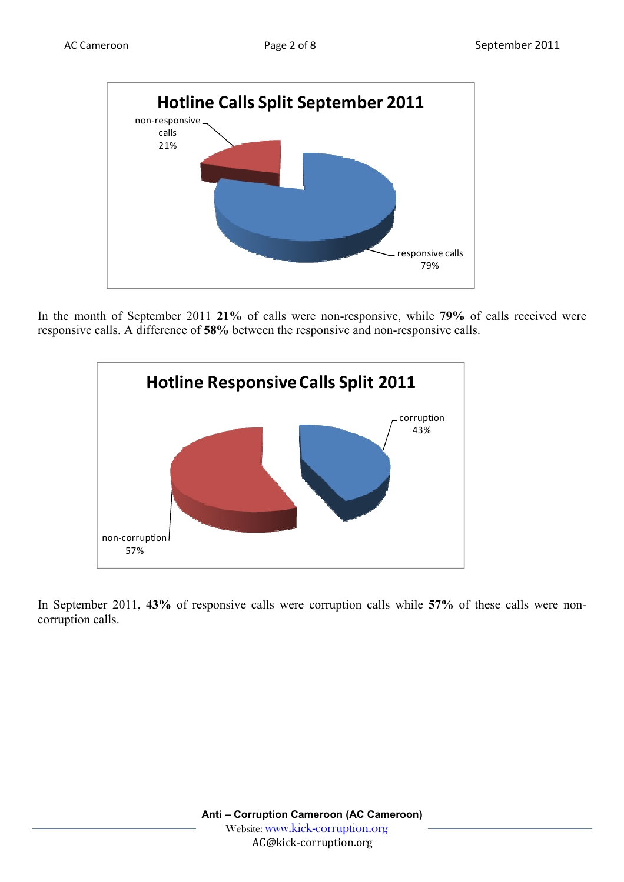

In the month of September 2011 **21%** of calls were non-responsive, while **79%** of calls received were responsive calls. A difference of **58%** between the responsive and non-responsive calls.



In September 2011, **43%** of responsive calls were corruption calls while **57%** of these calls were noncorruption calls.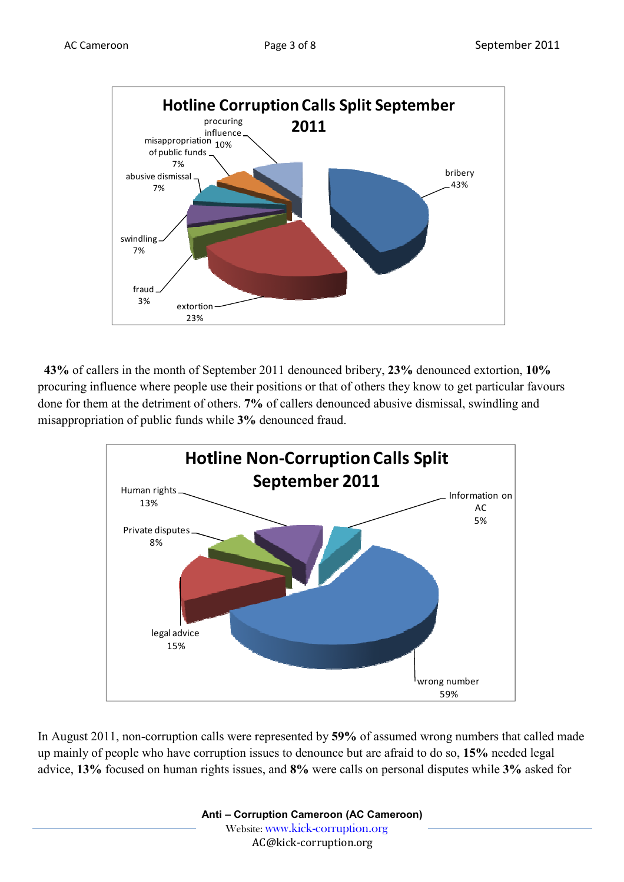

 **43%** of callers in the month of September 2011 denounced bribery, **23%** denounced extortion, **10%** procuring influence where people use their positions or that of others they know to get particular favours done for them at the detriment of others. **7%** of callers denounced abusive dismissal, swindling and misappropriation of public funds while **3%** denounced fraud.



In August 2011, non-corruption calls were represented by **59%** of assumed wrong numbers that called made up mainly of people who have corruption issues to denounce but are afraid to do so, **15%** needed legal advice, **13%** focused on human rights issues, and **8%** were calls on personal disputes while **3%** asked for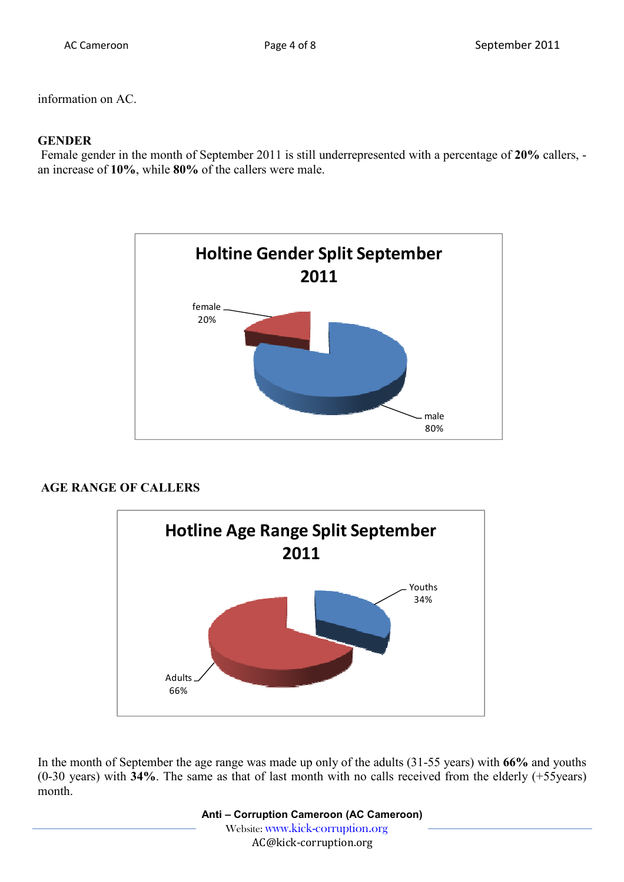information on AC.

#### **GENDER**

 Female gender in the month of September 2011 is still underrepresented with a percentage of **20%** callers, an increase of **10%**, while **80%** of the callers were male.



### **AGE RANGE OF CALLERS**



In the month of September the age range was made up only of the adults (31-55 years) with **66%** and youths (0-30 years) with **34%**. The same as that of last month with no calls received from the elderly (+55years) month.

> **Anti – Corruption Cameroon (AC Cameroon)** Website: www.kick-corruption.org AC@kick-corruption.org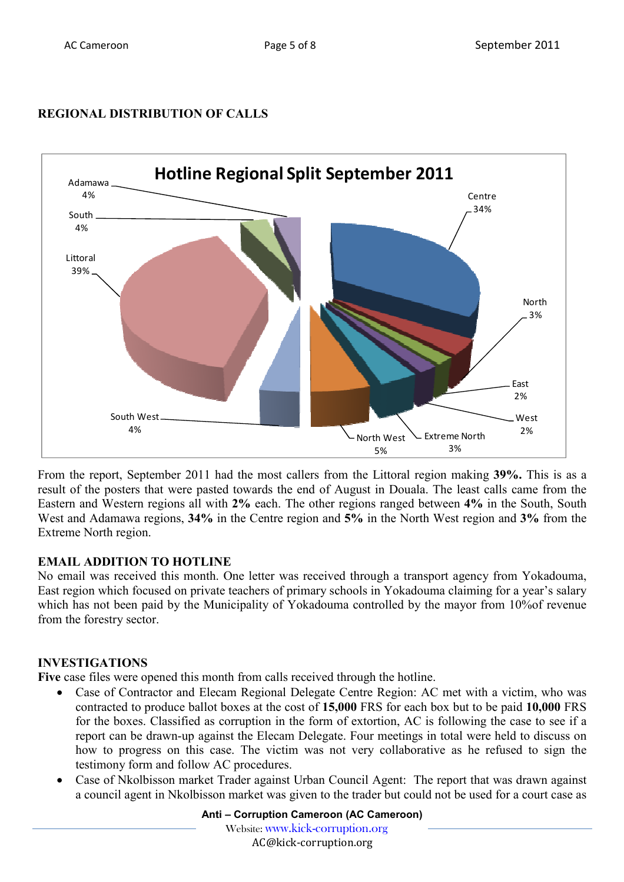# **REGIONAL DISTRIBUTION OF CALLS**



From the report, September 2011 had the most callers from the Littoral region making **39%.** This is as a result of the posters that were pasted towards the end of August in Douala. The least calls came from the Eastern and Western regions all with **2%** each. The other regions ranged between **4%** in the South, South West and Adamawa regions, **34%** in the Centre region and **5%** in the North West region and **3%** from the Extreme North region.

# **EMAIL ADDITION TO HOTLINE**

No email was received this month. One letter was received through a transport agency from Yokadouma, East region which focused on private teachers of primary schools in Yokadouma claiming for a year's salary which has not been paid by the Municipality of Yokadouma controlled by the mayor from 10% of revenue from the forestry sector.

# **INVESTIGATIONS**

**Five** case files were opened this month from calls received through the hotline.

- Case of Contractor and Elecam Regional Delegate Centre Region: AC met with a victim, who was contracted to produce ballot boxes at the cost of **15,000** FRS for each box but to be paid **10,000** FRS for the boxes. Classified as corruption in the form of extortion, AC is following the case to see if a report can be drawn-up against the Elecam Delegate. Four meetings in total were held to discuss on how to progress on this case. The victim was not very collaborative as he refused to sign the testimony form and follow AC procedures.
- Case of Nkolbisson market Trader against Urban Council Agent: The report that was drawn against a council agent in Nkolbisson market was given to the trader but could not be used for a court case as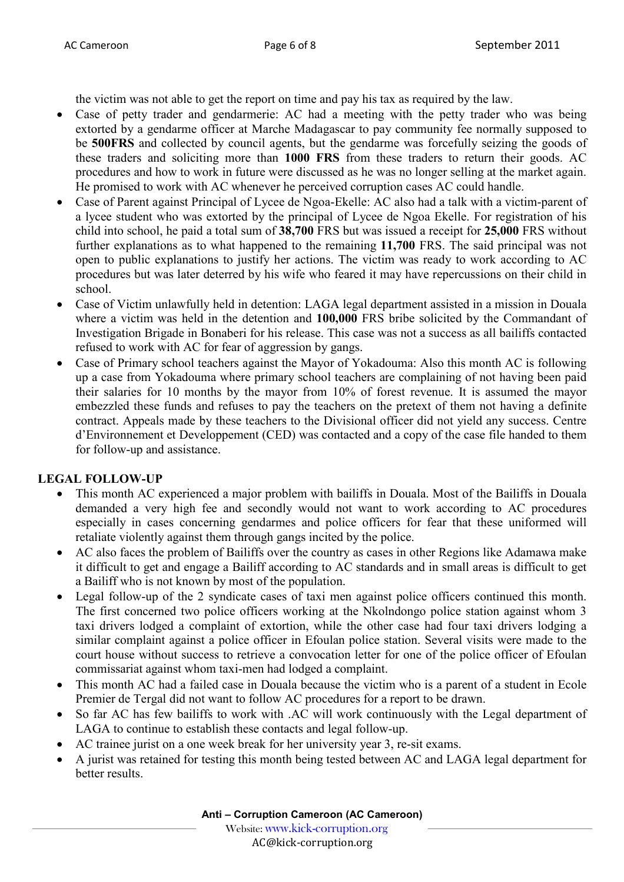the victim was not able to get the report on time and pay his tax as required by the law.

- Case of petty trader and gendarmerie: AC had a meeting with the petty trader who was being extorted by a gendarme officer at Marche Madagascar to pay community fee normally supposed to be **500FRS** and collected by council agents, but the gendarme was forcefully seizing the goods of these traders and soliciting more than **1000 FRS** from these traders to return their goods. AC procedures and how to work in future were discussed as he was no longer selling at the market again. He promised to work with AC whenever he perceived corruption cases AC could handle.
- Case of Parent against Principal of Lycee de Ngoa-Ekelle: AC also had a talk with a victim-parent of a lycee student who was extorted by the principal of Lycee de Ngoa Ekelle. For registration of his child into school, he paid a total sum of **38,700** FRS but was issued a receipt for **25,000** FRS without further explanations as to what happened to the remaining **11,700** FRS. The said principal was not open to public explanations to justify her actions. The victim was ready to work according to AC procedures but was later deterred by his wife who feared it may have repercussions on their child in school.
- Case of Victim unlawfully held in detention: LAGA legal department assisted in a mission in Douala where a victim was held in the detention and **100,000** FRS bribe solicited by the Commandant of Investigation Brigade in Bonaberi for his release. This case was not a success as all bailiffs contacted refused to work with AC for fear of aggression by gangs.
- Case of Primary school teachers against the Mayor of Yokadouma: Also this month AC is following up a case from Yokadouma where primary school teachers are complaining of not having been paid their salaries for 10 months by the mayor from 10% of forest revenue. It is assumed the mayor embezzled these funds and refuses to pay the teachers on the pretext of them not having a definite contract. Appeals made by these teachers to the Divisional officer did not yield any success. Centre d'Environnement et Developpement (CED) was contacted and a copy of the case file handed to them for follow-up and assistance.

# **LEGAL FOLLOW-UP**

- This month AC experienced a major problem with bailiffs in Douala. Most of the Bailiffs in Douala demanded a very high fee and secondly would not want to work according to AC procedures especially in cases concerning gendarmes and police officers for fear that these uniformed will retaliate violently against them through gangs incited by the police.
- AC also faces the problem of Bailiffs over the country as cases in other Regions like Adamawa make it difficult to get and engage a Bailiff according to AC standards and in small areas is difficult to get a Bailiff who is not known by most of the population.
- Legal follow-up of the 2 syndicate cases of taxi men against police officers continued this month. The first concerned two police officers working at the Nkolndongo police station against whom 3 taxi drivers lodged a complaint of extortion, while the other case had four taxi drivers lodging a similar complaint against a police officer in Efoulan police station. Several visits were made to the court house without success to retrieve a convocation letter for one of the police officer of Efoulan commissariat against whom taxi-men had lodged a complaint.
- This month AC had a failed case in Douala because the victim who is a parent of a student in Ecole Premier de Tergal did not want to follow AC procedures for a report to be drawn.
- So far AC has few bailiffs to work with .AC will work continuously with the Legal department of LAGA to continue to establish these contacts and legal follow-up.
- AC trainee jurist on a one week break for her university year 3, re-sit exams.
- A jurist was retained for testing this month being tested between AC and LAGA legal department for better results.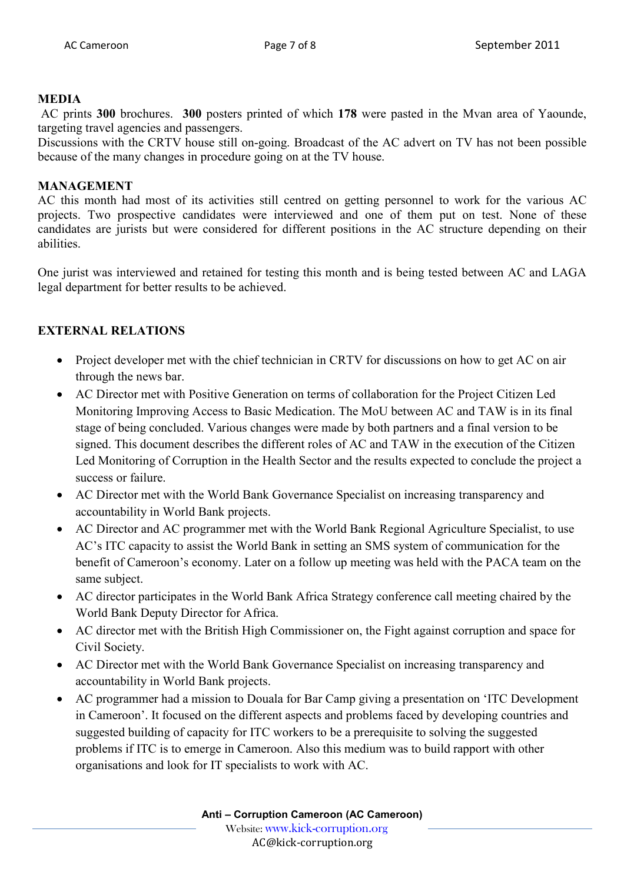#### **MEDIA**

 AC prints **300** brochures. **300** posters printed of which **178** were pasted in the Mvan area of Yaounde, targeting travel agencies and passengers.

Discussions with the CRTV house still on-going. Broadcast of the AC advert on TV has not been possible because of the many changes in procedure going on at the TV house.

### **MANAGEMENT**

AC this month had most of its activities still centred on getting personnel to work for the various AC projects. Two prospective candidates were interviewed and one of them put on test. None of these candidates are jurists but were considered for different positions in the AC structure depending on their abilities.

One jurist was interviewed and retained for testing this month and is being tested between AC and LAGA legal department for better results to be achieved.

## **EXTERNAL RELATIONS**

- Project developer met with the chief technician in CRTV for discussions on how to get AC on air through the news bar.
- AC Director met with Positive Generation on terms of collaboration for the Project Citizen Led Monitoring Improving Access to Basic Medication. The MoU between AC and TAW is in its final stage of being concluded. Various changes were made by both partners and a final version to be signed. This document describes the different roles of AC and TAW in the execution of the Citizen Led Monitoring of Corruption in the Health Sector and the results expected to conclude the project a success or failure.
- AC Director met with the World Bank Governance Specialist on increasing transparency and accountability in World Bank projects.
- AC Director and AC programmer met with the World Bank Regional Agriculture Specialist, to use AC's ITC capacity to assist the World Bank in setting an SMS system of communication for the benefit of Cameroon's economy. Later on a follow up meeting was held with the PACA team on the same subject.
- AC director participates in the World Bank Africa Strategy conference call meeting chaired by the World Bank Deputy Director for Africa.
- AC director met with the British High Commissioner on, the Fight against corruption and space for Civil Society.
- AC Director met with the World Bank Governance Specialist on increasing transparency and accountability in World Bank projects.
- AC programmer had a mission to Douala for Bar Camp giving a presentation on 'ITC Development in Cameroon'. It focused on the different aspects and problems faced by developing countries and suggested building of capacity for ITC workers to be a prerequisite to solving the suggested problems if ITC is to emerge in Cameroon. Also this medium was to build rapport with other organisations and look for IT specialists to work with AC.